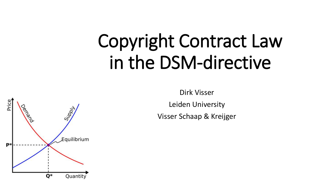# Copyright Contract Law in the DSM-directive



Leiden University

Visser Schaap & Kreijger

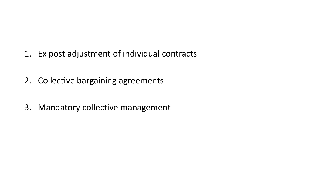- 1. Ex post adjustment of individual contracts
- 2. Collective bargaining agreements
- 3. Mandatory collective management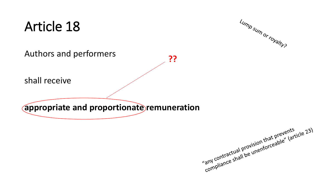## Article 18



Authors and performers

??

shall receive

**appropriate and proportionate remuneration**

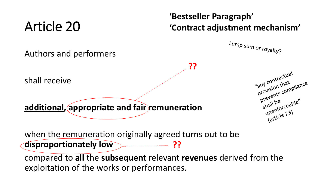# Article 20

Authors and performers

#### **'Bestseller Paragraph' 'Contract adjustment mechanism'**

**??**



"any contractual"

"any contract "any contract"

prevention

any contract<br>provision that<br>prevents compliance

prevent<br>shall be<br>unenforceable"<br>unenforceable"

unenture 23)

shall receive

**additional, appropriate and fair remuneration** 

when the remuneration originally agreed turns out to be **disproportionately low** ??

compared to **all** the **subsequent** relevant **revenues** derived from the exploitation of the works or performances.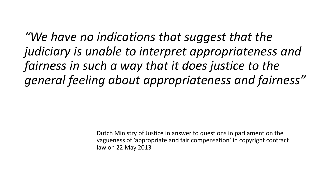*"We have no indications that suggest that the judiciary is unable to interpret appropriateness and fairness in such a way that it does justice to the general feeling about appropriateness and fairness"* 

> Dutch Ministry of Justice in answer to questions in parliament on the vagueness of 'appropriate and fair compensation' in copyright contract law on 22 May 2013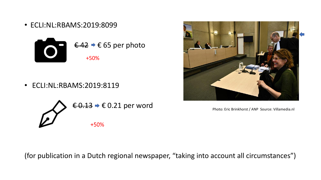• ECLI:NL:RBAMS:2019:8099



• ECLI:NL:RBAMS:2019:8119





Photo: Eric Brinkhorst / ANP Source: Villamedia.nl

(for publication in a Dutch regional newspaper, "taking into account all circumstances")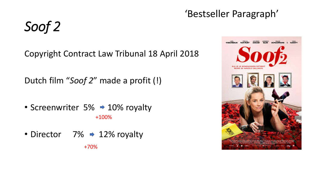#### 'Bestseller Paragraph'

*Soof 2*

Copyright Contract Law Tribunal 18 April 2018

Dutch film "*Soof 2*" made a profit (!)

• Screenwriter  $5\% \rightarrow 10\%$  royalty +100%

• Director  $7\% \rightarrow 12\%$  royalty

+70%

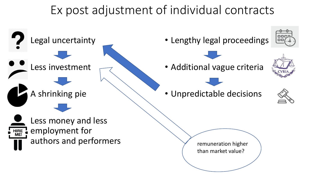### Ex post adjustment of individual contracts

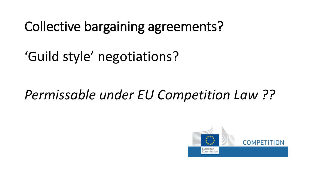Collective bargaining agreements?

'Guild style' negotiations?

### *Permissable under EU Competition Law ??*

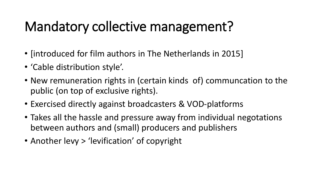# Mandatory collective management?

- [introduced for film authors in The Netherlands in 2015]
- 'Cable distribution style'.
- New remuneration rights in (certain kinds of) communcation to the public (on top of exclusive rights).
- Exercised directly against broadcasters & VOD-platforms
- Takes all the hassle and pressure away from individual negotations between authors and (small) producers and publishers
- Another levy > 'levification' of copyright